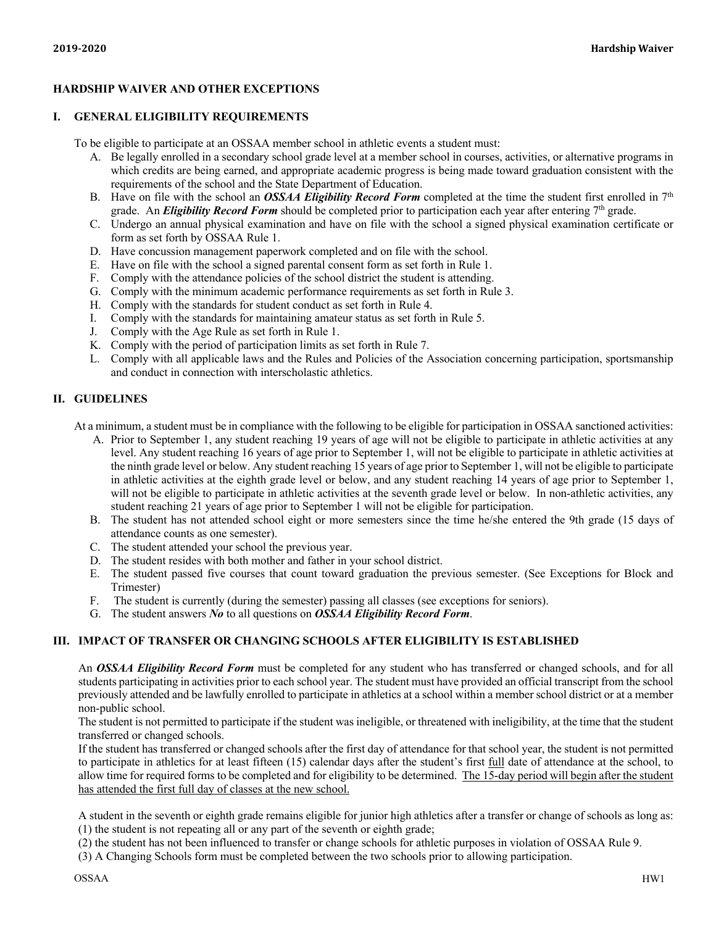# **HARDSHIP WAIVER AND OTHER EXCEPTIONS**

### **I. GENERAL ELIGIBILITY REQUIREMENTS**

To be eligible to participate at an OSSAA member school in athletic events a student must:

- A. Be legally enrolled in a secondary school grade level at a member school in courses, activities, or alternative programs in which credits are being earned, and appropriate academic progress is being made toward graduation consistent with the requirements of the school and the State Department of Education.
- B. Have on file with the school an *OSSAA Eligibility Record Form* completed at the time the student first enrolled in 7<sup>th</sup> grade. An *Eligibility Record Form* should be completed prior to participation each year after entering 7<sup>th</sup> grade.
- C. Undergo an annual physical examination and have on file with the school a signed physical examination certificate or form as set forth by OSSAA Rule 1.
- D. Have concussion management paperwork completed and on file with the school.
- E. Have on file with the school a signed parental consent form as set forth in Rule 1.
- F. Comply with the attendance policies of the school district the student is attending.
- G. Comply with the minimum academic performance requirements as set forth in Rule 3.
- H. Comply with the standards for student conduct as set forth in Rule 4.
- I. Comply with the standards for maintaining amateur status as set forth in Rule 5.
- J. Comply with the Age Rule as set forth in Rule 1.
- K. Comply with the period of participation limits as set forth in Rule 7.
- L. Comply with all applicable laws and the Rules and Policies of the Association concerning participation, sportsmanship and conduct in connection with interscholastic athletics.

### **II. GUIDELINES**

At a minimum, a student must be in compliance with the following to be eligible for participation in OSSAA sanctioned activities:

- A. Prior to September 1, any student reaching 19 years of age will not be eligible to participate in athletic activities at any level. Any student reaching 16 years of age prior to September 1, will not be eligible to participate in athletic activities at the ninth grade level or below. Any student reaching 15 years of age prior to September 1, will not be eligible to participate in athletic activities at the eighth grade level or below, and any student reaching 14 years of age prior to September 1, will not be eligible to participate in athletic activities at the seventh grade level or below. In non-athletic activities, any student reaching 21 years of age prior to September 1 will not be eligible for participation.
- B. The student has not attended school eight or more semesters since the time he/she entered the 9th grade (15 days of attendance counts as one semester).
- C. The student attended your school the previous year.
- D. The student resides with both mother and father in your school district.
- E. The student passed five courses that count toward graduation the previous semester. (See Exceptions for Block and Trimester)
- F. The student is currently (during the semester) passing all classes (see exceptions for seniors).
- G. The student answers *No* to all questions on *OSSAA Eligibility Record Form*.

### **III. IMPACT OF TRANSFER OR CHANGING SCHOOLS AFTER ELIGIBILITY IS ESTABLISHED**

An *OSSAA Eligibility Record Form* must be completed for any student who has transferred or changed schools, and for all students participating in activities prior to each school year. The student must have provided an official transcript from the school previously attended and be lawfully enrolled to participate in athletics at a school within a member school district or at a member non-public school.

The student is not permitted to participate if the student was ineligible, or threatened with ineligibility, at the time that the student transferred or changed schools.

If the student has transferred or changed schools after the first day of attendance for that school year, the student is not permitted to participate in athletics for at least fifteen (15) calendar days after the student's first full date of attendance at the school, to allow time for required forms to be completed and for eligibility to be determined. The 15-day period will begin after the student has attended the first full day of classes at the new school.

A student in the seventh or eighth grade remains eligible for junior high athletics after a transfer or change of schools as long as: (1) the student is not repeating all or any part of the seventh or eighth grade;

- (2) the student has not been influenced to transfer or change schools for athletic purposes in violation of OSSAA Rule 9.
- (3) A Changing Schools form must be completed between the two schools prior to allowing participation.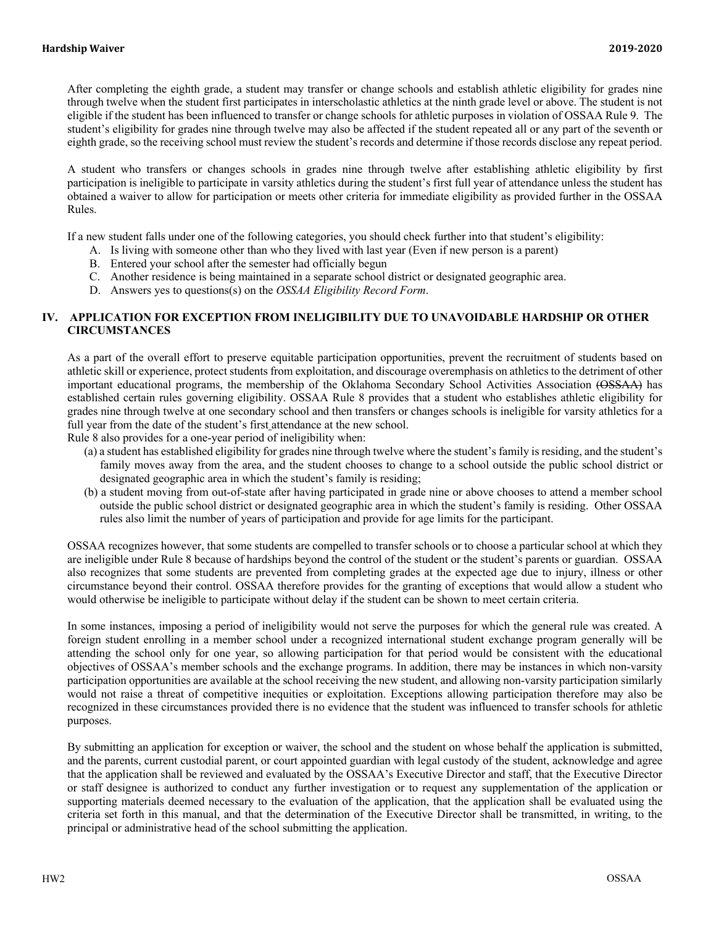After completing the eighth grade, a student may transfer or change schools and establish athletic eligibility for grades nine through twelve when the student first participates in interscholastic athletics at the ninth grade level or above. The student is not eligible if the student has been influenced to transfer or change schools for athletic purposes in violation of OSSAA Rule 9. The student's eligibility for grades nine through twelve may also be affected if the student repeated all or any part of the seventh or eighth grade, so the receiving school must review the student's records and determine if those records disclose any repeat period.

A student who transfers or changes schools in grades nine through twelve after establishing athletic eligibility by first participation is ineligible to participate in varsity athletics during the student's first full year of attendance unless the student has obtained a waiver to allow for participation or meets other criteria for immediate eligibility as provided further in the OSSAA Rules.

If a new student falls under one of the following categories, you should check further into that student's eligibility:

- A. Is living with someone other than who they lived with last year (Even if new person is a parent)
- B. Entered your school after the semester had officially begun
- C. Another residence is being maintained in a separate school district or designated geographic area.
- D. Answers yes to questions(s) on the *OSSAA Eligibility Record Form*.

### **IV. APPLICATION FOR EXCEPTION FROM INELIGIBILITY DUE TO UNAVOIDABLE HARDSHIP OR OTHER CIRCUMSTANCES**

As a part of the overall effort to preserve equitable participation opportunities, prevent the recruitment of students based on athletic skill or experience, protect students from exploitation, and discourage overemphasis on athletics to the detriment of other important educational programs, the membership of the Oklahoma Secondary School Activities Association (OSSAA) has established certain rules governing eligibility. OSSAA Rule 8 provides that a student who establishes athletic eligibility for grades nine through twelve at one secondary school and then transfers or changes schools is ineligible for varsity athletics for a full year from the date of the student's first attendance at the new school.

Rule 8 also provides for a one-year period of ineligibility when:

- (a) a student has established eligibility for grades nine through twelve where the student's family is residing, and the student's family moves away from the area, and the student chooses to change to a school outside the public school district or designated geographic area in which the student's family is residing;
- (b) a student moving from out-of-state after having participated in grade nine or above chooses to attend a member school outside the public school district or designated geographic area in which the student's family is residing. Other OSSAA rules also limit the number of years of participation and provide for age limits for the participant.

OSSAA recognizes however, that some students are compelled to transfer schools or to choose a particular school at which they are ineligible under Rule 8 because of hardships beyond the control of the student or the student's parents or guardian. OSSAA also recognizes that some students are prevented from completing grades at the expected age due to injury, illness or other circumstance beyond their control. OSSAA therefore provides for the granting of exceptions that would allow a student who would otherwise be ineligible to participate without delay if the student can be shown to meet certain criteria.

In some instances, imposing a period of ineligibility would not serve the purposes for which the general rule was created. A foreign student enrolling in a member school under a recognized international student exchange program generally will be attending the school only for one year, so allowing participation for that period would be consistent with the educational objectives of OSSAA's member schools and the exchange programs. In addition, there may be instances in which non-varsity participation opportunities are available at the school receiving the new student, and allowing non-varsity participation similarly would not raise a threat of competitive inequities or exploitation. Exceptions allowing participation therefore may also be recognized in these circumstances provided there is no evidence that the student was influenced to transfer schools for athletic purposes.

By submitting an application for exception or waiver, the school and the student on whose behalf the application is submitted, and the parents, current custodial parent, or court appointed guardian with legal custody of the student, acknowledge and agree that the application shall be reviewed and evaluated by the OSSAA's Executive Director and staff, that the Executive Director or staff designee is authorized to conduct any further investigation or to request any supplementation of the application or supporting materials deemed necessary to the evaluation of the application, that the application shall be evaluated using the criteria set forth in this manual, and that the determination of the Executive Director shall be transmitted, in writing, to the principal or administrative head of the school submitting the application.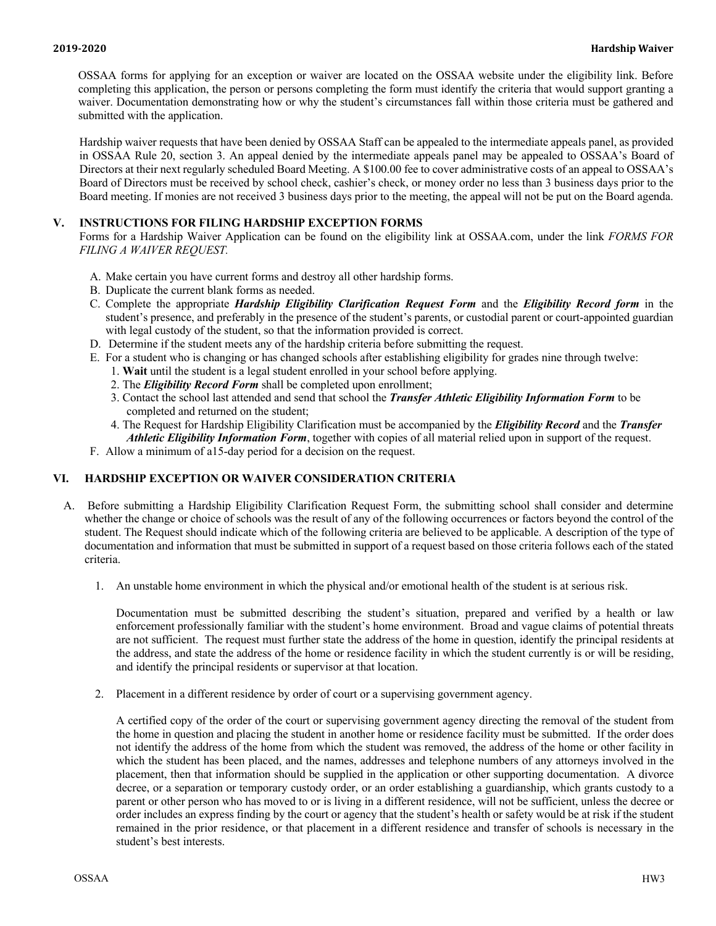OSSAA forms for applying for an exception or waiver are located on the OSSAA website under the eligibility link. Before completing this application, the person or persons completing the form must identify the criteria that would support granting a waiver. Documentation demonstrating how or why the student's circumstances fall within those criteria must be gathered and submitted with the application.

Hardship waiver requests that have been denied by OSSAA Staff can be appealed to the intermediate appeals panel, as provided in OSSAA Rule 20, section 3. An appeal denied by the intermediate appeals panel may be appealed to OSSAA's Board of Directors at their next regularly scheduled Board Meeting. A \$100.00 fee to cover administrative costs of an appeal to OSSAA's Board of Directors must be received by school check, cashier's check, or money order no less than 3 business days prior to the Board meeting. If monies are not received 3 business days prior to the meeting, the appeal will not be put on the Board agenda.

# **V. INSTRUCTIONS FOR FILING HARDSHIP EXCEPTION FORMS**

Forms for a Hardship Waiver Application can be found on the eligibility link at OSSAA.com, under the link *FORMS FOR FILING A WAIVER REQUEST.*

- A. Make certain you have current forms and destroy all other hardship forms.
- B. Duplicate the current blank forms as needed.
- C. Complete the appropriate *Hardship Eligibility Clarification Request Form* and the *Eligibility Record form* in the student's presence, and preferably in the presence of the student's parents, or custodial parent or court-appointed guardian with legal custody of the student, so that the information provided is correct.
- D. Determine if the student meets any of the hardship criteria before submitting the request.
- E. For a student who is changing or has changed schools after establishing eligibility for grades nine through twelve:
	- 1. **Wait** until the student is a legal student enrolled in your school before applying.
	- 2. The *Eligibility Record Form* shall be completed upon enrollment;
	- 3. Contact the school last attended and send that school the *Transfer Athletic Eligibility Information Form* to be completed and returned on the student;
	- 4. The Request for Hardship Eligibility Clarification must be accompanied by the *Eligibility Record* and the *Transfer Athletic Eligibility Information Form*, together with copies of all material relied upon in support of the request.
- F. Allow a minimum of a15-day period for a decision on the request.

# **VI. HARDSHIP EXCEPTION OR WAIVER CONSIDERATION CRITERIA**

- A. Before submitting a Hardship Eligibility Clarification Request Form, the submitting school shall consider and determine whether the change or choice of schools was the result of any of the following occurrences or factors beyond the control of the student. The Request should indicate which of the following criteria are believed to be applicable. A description of the type of documentation and information that must be submitted in support of a request based on those criteria follows each of the stated criteria.
	- 1. An unstable home environment in which the physical and/or emotional health of the student is at serious risk.

Documentation must be submitted describing the student's situation, prepared and verified by a health or law enforcement professionally familiar with the student's home environment. Broad and vague claims of potential threats are not sufficient. The request must further state the address of the home in question, identify the principal residents at the address, and state the address of the home or residence facility in which the student currently is or will be residing, and identify the principal residents or supervisor at that location.

2. Placement in a different residence by order of court or a supervising government agency.

A certified copy of the order of the court or supervising government agency directing the removal of the student from the home in question and placing the student in another home or residence facility must be submitted. If the order does not identify the address of the home from which the student was removed, the address of the home or other facility in which the student has been placed, and the names, addresses and telephone numbers of any attorneys involved in the placement, then that information should be supplied in the application or other supporting documentation. A divorce decree, or a separation or temporary custody order, or an order establishing a guardianship, which grants custody to a parent or other person who has moved to or is living in a different residence, will not be sufficient, unless the decree or order includes an express finding by the court or agency that the student's health or safety would be at risk if the student remained in the prior residence, or that placement in a different residence and transfer of schools is necessary in the student's best interests.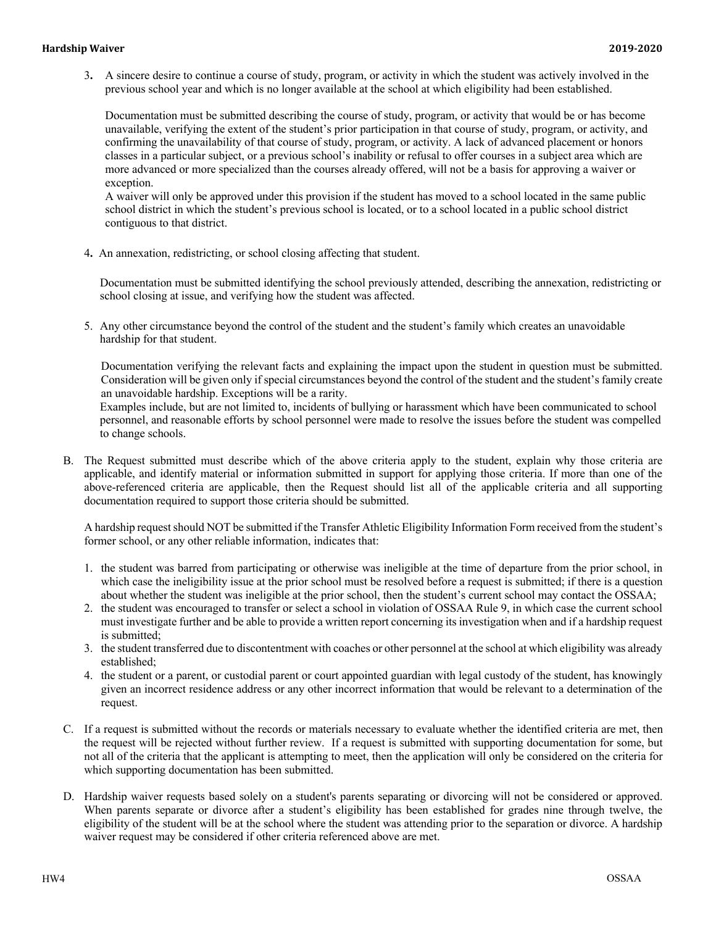#### **Hardship Waiver 2019-2020**

3**.** A sincere desire to continue a course of study, program, or activity in which the student was actively involved in the previous school year and which is no longer available at the school at which eligibility had been established.

Documentation must be submitted describing the course of study, program, or activity that would be or has become unavailable, verifying the extent of the student's prior participation in that course of study, program, or activity, and confirming the unavailability of that course of study, program, or activity. A lack of advanced placement or honors classes in a particular subject, or a previous school's inability or refusal to offer courses in a subject area which are more advanced or more specialized than the courses already offered, will not be a basis for approving a waiver or exception.

A waiver will only be approved under this provision if the student has moved to a school located in the same public school district in which the student's previous school is located, or to a school located in a public school district contiguous to that district.

4**.** An annexation, redistricting, or school closing affecting that student.

Documentation must be submitted identifying the school previously attended, describing the annexation, redistricting or school closing at issue, and verifying how the student was affected.

5. Any other circumstance beyond the control of the student and the student's family which creates an unavoidable hardship for that student.

Documentation verifying the relevant facts and explaining the impact upon the student in question must be submitted. Consideration will be given only if special circumstances beyond the control of the student and the student's family create an unavoidable hardship. Exceptions will be a rarity.

Examples include, but are not limited to, incidents of bullying or harassment which have been communicated to school personnel, and reasonable efforts by school personnel were made to resolve the issues before the student was compelled to change schools.

B. The Request submitted must describe which of the above criteria apply to the student, explain why those criteria are applicable, and identify material or information submitted in support for applying those criteria. If more than one of the above-referenced criteria are applicable, then the Request should list all of the applicable criteria and all supporting documentation required to support those criteria should be submitted.

A hardship request should NOT be submitted if the Transfer Athletic Eligibility Information Form received from the student's former school, or any other reliable information, indicates that:

- 1. the student was barred from participating or otherwise was ineligible at the time of departure from the prior school, in which case the ineligibility issue at the prior school must be resolved before a request is submitted; if there is a question about whether the student was ineligible at the prior school, then the student's current school may contact the OSSAA;
- 2. the student was encouraged to transfer or select a school in violation of OSSAA Rule 9, in which case the current school must investigate further and be able to provide a written report concerning its investigation when and if a hardship request is submitted;
- 3. the student transferred due to discontentment with coaches or other personnel at the school at which eligibility was already established;
- 4. the student or a parent, or custodial parent or court appointed guardian with legal custody of the student, has knowingly given an incorrect residence address or any other incorrect information that would be relevant to a determination of the request.
- C. If a request is submitted without the records or materials necessary to evaluate whether the identified criteria are met, then the request will be rejected without further review. If a request is submitted with supporting documentation for some, but not all of the criteria that the applicant is attempting to meet, then the application will only be considered on the criteria for which supporting documentation has been submitted.
- D. Hardship waiver requests based solely on a student's parents separating or divorcing will not be considered or approved. When parents separate or divorce after a student's eligibility has been established for grades nine through twelve, the eligibility of the student will be at the school where the student was attending prior to the separation or divorce. A hardship waiver request may be considered if other criteria referenced above are met.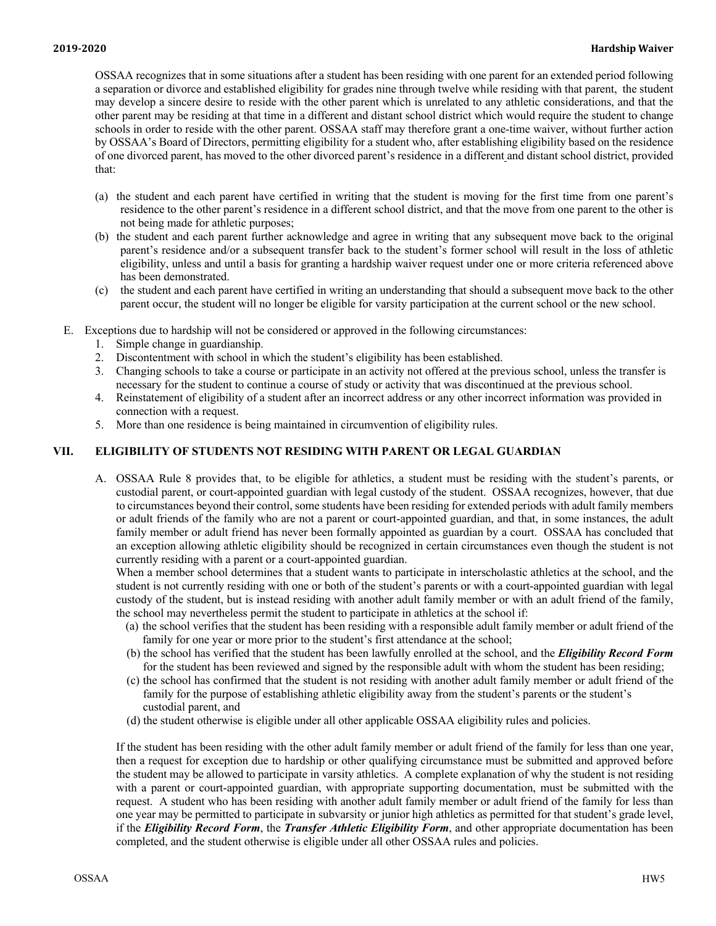OSSAA recognizes that in some situations after a student has been residing with one parent for an extended period following a separation or divorce and established eligibility for grades nine through twelve while residing with that parent, the student may develop a sincere desire to reside with the other parent which is unrelated to any athletic considerations, and that the other parent may be residing at that time in a different and distant school district which would require the student to change schools in order to reside with the other parent. OSSAA staff may therefore grant a one-time waiver, without further action by OSSAA's Board of Directors, permitting eligibility for a student who, after establishing eligibility based on the residence of one divorced parent, has moved to the other divorced parent's residence in a different and distant school district, provided that:

- (a) the student and each parent have certified in writing that the student is moving for the first time from one parent's residence to the other parent's residence in a different school district, and that the move from one parent to the other is not being made for athletic purposes;
- (b) the student and each parent further acknowledge and agree in writing that any subsequent move back to the original parent's residence and/or a subsequent transfer back to the student's former school will result in the loss of athletic eligibility, unless and until a basis for granting a hardship waiver request under one or more criteria referenced above has been demonstrated.
- (c) the student and each parent have certified in writing an understanding that should a subsequent move back to the other parent occur, the student will no longer be eligible for varsity participation at the current school or the new school.
- E. Exceptions due to hardship will not be considered or approved in the following circumstances:
	- 1. Simple change in guardianship.
	- 2. Discontentment with school in which the student's eligibility has been established.
	- 3. Changing schools to take a course or participate in an activity not offered at the previous school, unless the transfer is necessary for the student to continue a course of study or activity that was discontinued at the previous school.
	- 4. Reinstatement of eligibility of a student after an incorrect address or any other incorrect information was provided in connection with a request.
	- 5. More than one residence is being maintained in circumvention of eligibility rules.

### **VII. ELIGIBILITY OF STUDENTS NOT RESIDING WITH PARENT OR LEGAL GUARDIAN**

A. OSSAA Rule 8 provides that, to be eligible for athletics, a student must be residing with the student's parents, or custodial parent, or court-appointed guardian with legal custody of the student. OSSAA recognizes, however, that due to circumstances beyond their control, some students have been residing for extended periods with adult family members or adult friends of the family who are not a parent or court-appointed guardian, and that, in some instances, the adult family member or adult friend has never been formally appointed as guardian by a court. OSSAA has concluded that an exception allowing athletic eligibility should be recognized in certain circumstances even though the student is not currently residing with a parent or a court-appointed guardian.

When a member school determines that a student wants to participate in interscholastic athletics at the school, and the student is not currently residing with one or both of the student's parents or with a court-appointed guardian with legal custody of the student, but is instead residing with another adult family member or with an adult friend of the family, the school may nevertheless permit the student to participate in athletics at the school if:

- (a) the school verifies that the student has been residing with a responsible adult family member or adult friend of the family for one year or more prior to the student's first attendance at the school;
- (b) the school has verified that the student has been lawfully enrolled at the school, and the *Eligibility Record Form* for the student has been reviewed and signed by the responsible adult with whom the student has been residing;
- (c) the school has confirmed that the student is not residing with another adult family member or adult friend of the family for the purpose of establishing athletic eligibility away from the student's parents or the student's custodial parent, and
- (d) the student otherwise is eligible under all other applicable OSSAA eligibility rules and policies.

If the student has been residing with the other adult family member or adult friend of the family for less than one year, then a request for exception due to hardship or other qualifying circumstance must be submitted and approved before the student may be allowed to participate in varsity athletics. A complete explanation of why the student is not residing with a parent or court-appointed guardian, with appropriate supporting documentation, must be submitted with the request. A student who has been residing with another adult family member or adult friend of the family for less than one year may be permitted to participate in subvarsity or junior high athletics as permitted for that student's grade level, if the *Eligibility Record Form*, the *Transfer Athletic Eligibility Form*, and other appropriate documentation has been completed, and the student otherwise is eligible under all other OSSAA rules and policies.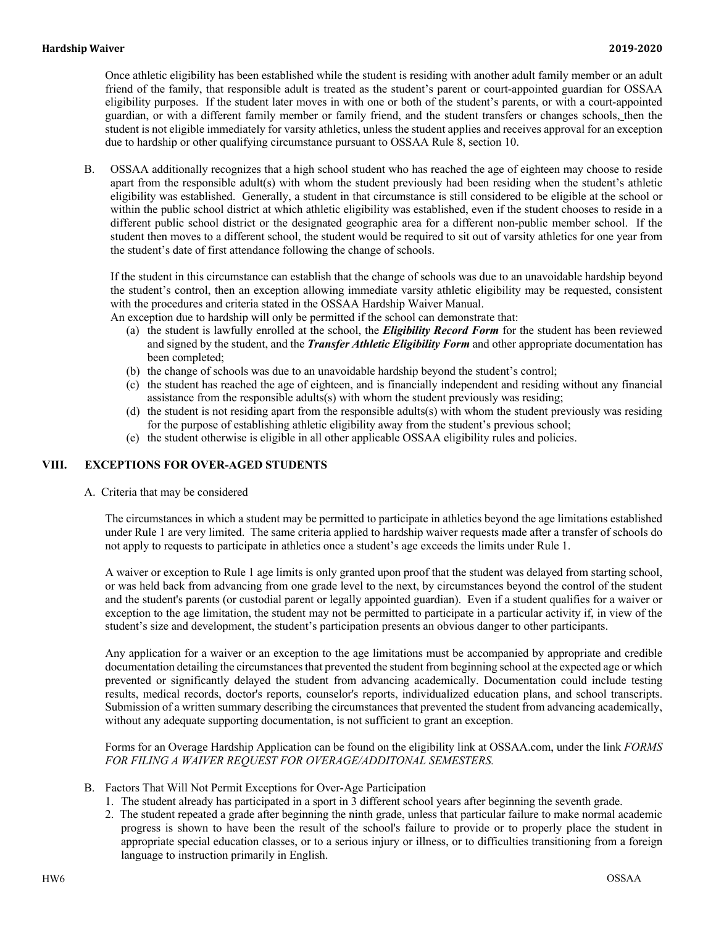Once athletic eligibility has been established while the student is residing with another adult family member or an adult friend of the family, that responsible adult is treated as the student's parent or court-appointed guardian for OSSAA eligibility purposes. If the student later moves in with one or both of the student's parents, or with a court-appointed guardian, or with a different family member or family friend, and the student transfers or changes schools, then the student is not eligible immediately for varsity athletics, unless the student applies and receives approval for an exception due to hardship or other qualifying circumstance pursuant to OSSAA Rule 8, section 10.

B. OSSAA additionally recognizes that a high school student who has reached the age of eighteen may choose to reside apart from the responsible adult(s) with whom the student previously had been residing when the student's athletic eligibility was established. Generally, a student in that circumstance is still considered to be eligible at the school or within the public school district at which athletic eligibility was established, even if the student chooses to reside in a different public school district or the designated geographic area for a different non-public member school. If the student then moves to a different school, the student would be required to sit out of varsity athletics for one year from the student's date of first attendance following the change of schools.

If the student in this circumstance can establish that the change of schools was due to an unavoidable hardship beyond the student's control, then an exception allowing immediate varsity athletic eligibility may be requested, consistent with the procedures and criteria stated in the OSSAA Hardship Waiver Manual.

An exception due to hardship will only be permitted if the school can demonstrate that:

- (a) the student is lawfully enrolled at the school, the *Eligibility Record Form* for the student has been reviewed and signed by the student, and the *Transfer Athletic Eligibility Form* and other appropriate documentation has been completed;
- (b) the change of schools was due to an unavoidable hardship beyond the student's control;
- (c) the student has reached the age of eighteen, and is financially independent and residing without any financial assistance from the responsible adults(s) with whom the student previously was residing;
- (d) the student is not residing apart from the responsible adults(s) with whom the student previously was residing for the purpose of establishing athletic eligibility away from the student's previous school;
- (e) the student otherwise is eligible in all other applicable OSSAA eligibility rules and policies.

#### **VIII. EXCEPTIONS FOR OVER-AGED STUDENTS**

A. Criteria that may be considered

The circumstances in which a student may be permitted to participate in athletics beyond the age limitations established under Rule 1 are very limited. The same criteria applied to hardship waiver requests made after a transfer of schools do not apply to requests to participate in athletics once a student's age exceeds the limits under Rule 1.

A waiver or exception to Rule 1 age limits is only granted upon proof that the student was delayed from starting school, or was held back from advancing from one grade level to the next, by circumstances beyond the control of the student and the student's parents (or custodial parent or legally appointed guardian). Even if a student qualifies for a waiver or exception to the age limitation, the student may not be permitted to participate in a particular activity if, in view of the student's size and development, the student's participation presents an obvious danger to other participants.

Any application for a waiver or an exception to the age limitations must be accompanied by appropriate and credible documentation detailing the circumstances that prevented the student from beginning school at the expected age or which prevented or significantly delayed the student from advancing academically. Documentation could include testing results, medical records, doctor's reports, counselor's reports, individualized education plans, and school transcripts. Submission of a written summary describing the circumstances that prevented the student from advancing academically, without any adequate supporting documentation, is not sufficient to grant an exception.

Forms for an Overage Hardship Application can be found on the eligibility link at OSSAA.com, under the link *FORMS FOR FILING A WAIVER REQUEST FOR OVERAGE/ADDITONAL SEMESTERS.*

- B. Factors That Will Not Permit Exceptions for Over-Age Participation
	- 1. The student already has participated in a sport in 3 different school years after beginning the seventh grade.
	- 2. The student repeated a grade after beginning the ninth grade, unless that particular failure to make normal academic progress is shown to have been the result of the school's failure to provide or to properly place the student in appropriate special education classes, or to a serious injury or illness, or to difficulties transitioning from a foreign language to instruction primarily in English.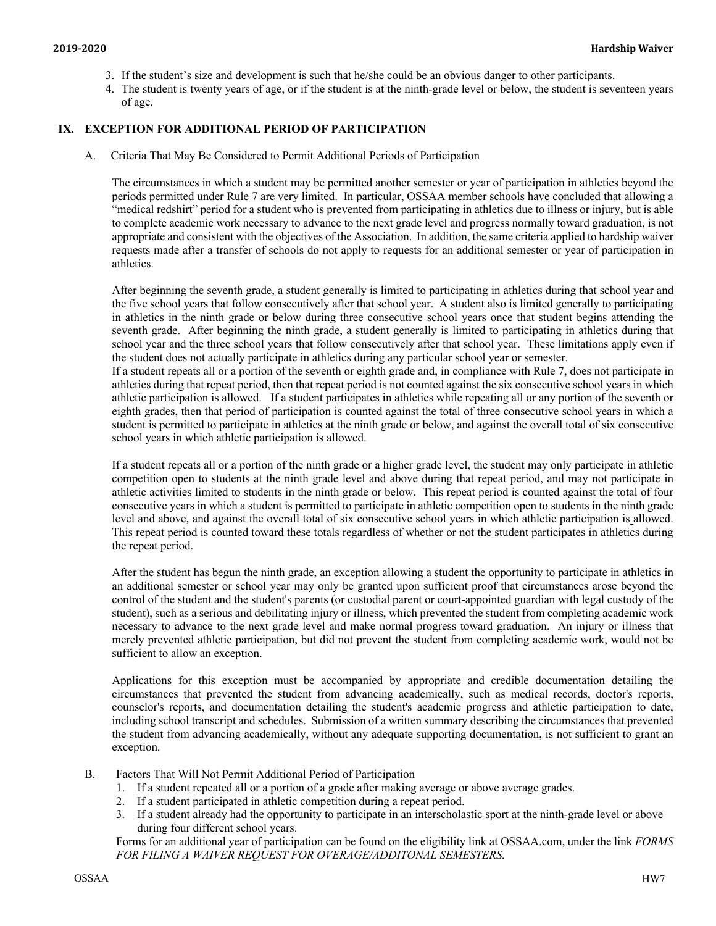- 3. If the student's size and development is such that he/she could be an obvious danger to other participants.
- 4. The student is twenty years of age, or if the student is at the ninth-grade level or below, the student is seventeen years of age.

# **IX. EXCEPTION FOR ADDITIONAL PERIOD OF PARTICIPATION**

A. Criteria That May Be Considered to Permit Additional Periods of Participation

The circumstances in which a student may be permitted another semester or year of participation in athletics beyond the periods permitted under Rule 7 are very limited. In particular, OSSAA member schools have concluded that allowing a "medical redshirt" period for a student who is prevented from participating in athletics due to illness or injury, but is able to complete academic work necessary to advance to the next grade level and progress normally toward graduation, is not appropriate and consistent with the objectives of the Association. In addition, the same criteria applied to hardship waiver requests made after a transfer of schools do not apply to requests for an additional semester or year of participation in athletics.

After beginning the seventh grade, a student generally is limited to participating in athletics during that school year and the five school years that follow consecutively after that school year. A student also is limited generally to participating in athletics in the ninth grade or below during three consecutive school years once that student begins attending the seventh grade. After beginning the ninth grade, a student generally is limited to participating in athletics during that school year and the three school years that follow consecutively after that school year. These limitations apply even if the student does not actually participate in athletics during any particular school year or semester.

If a student repeats all or a portion of the seventh or eighth grade and, in compliance with Rule 7, does not participate in athletics during that repeat period, then that repeat period is not counted against the six consecutive school years in which athletic participation is allowed. If a student participates in athletics while repeating all or any portion of the seventh or eighth grades, then that period of participation is counted against the total of three consecutive school years in which a student is permitted to participate in athletics at the ninth grade or below, and against the overall total of six consecutive school years in which athletic participation is allowed.

If a student repeats all or a portion of the ninth grade or a higher grade level, the student may only participate in athletic competition open to students at the ninth grade level and above during that repeat period, and may not participate in athletic activities limited to students in the ninth grade or below. This repeat period is counted against the total of four consecutive years in which a student is permitted to participate in athletic competition open to students in the ninth grade level and above, and against the overall total of six consecutive school years in which athletic participation is allowed. This repeat period is counted toward these totals regardless of whether or not the student participates in athletics during the repeat period.

After the student has begun the ninth grade, an exception allowing a student the opportunity to participate in athletics in an additional semester or school year may only be granted upon sufficient proof that circumstances arose beyond the control of the student and the student's parents (or custodial parent or court-appointed guardian with legal custody of the student), such as a serious and debilitating injury or illness, which prevented the student from completing academic work necessary to advance to the next grade level and make normal progress toward graduation. An injury or illness that merely prevented athletic participation, but did not prevent the student from completing academic work, would not be sufficient to allow an exception.

Applications for this exception must be accompanied by appropriate and credible documentation detailing the circumstances that prevented the student from advancing academically, such as medical records, doctor's reports, counselor's reports, and documentation detailing the student's academic progress and athletic participation to date, including school transcript and schedules. Submission of a written summary describing the circumstances that prevented the student from advancing academically, without any adequate supporting documentation, is not sufficient to grant an exception.

- B. Factors That Will Not Permit Additional Period of Participation
	- 1. If a student repeated all or a portion of a grade after making average or above average grades.
	- 2. If a student participated in athletic competition during a repeat period.
	- 3. If a student already had the opportunity to participate in an interscholastic sport at the ninth-grade level or above during four different school years.

Forms for an additional year of participation can be found on the eligibility link at OSSAA.com, under the link *FORMS FOR FILING A WAIVER REQUEST FOR OVERAGE/ADDITONAL SEMESTERS.*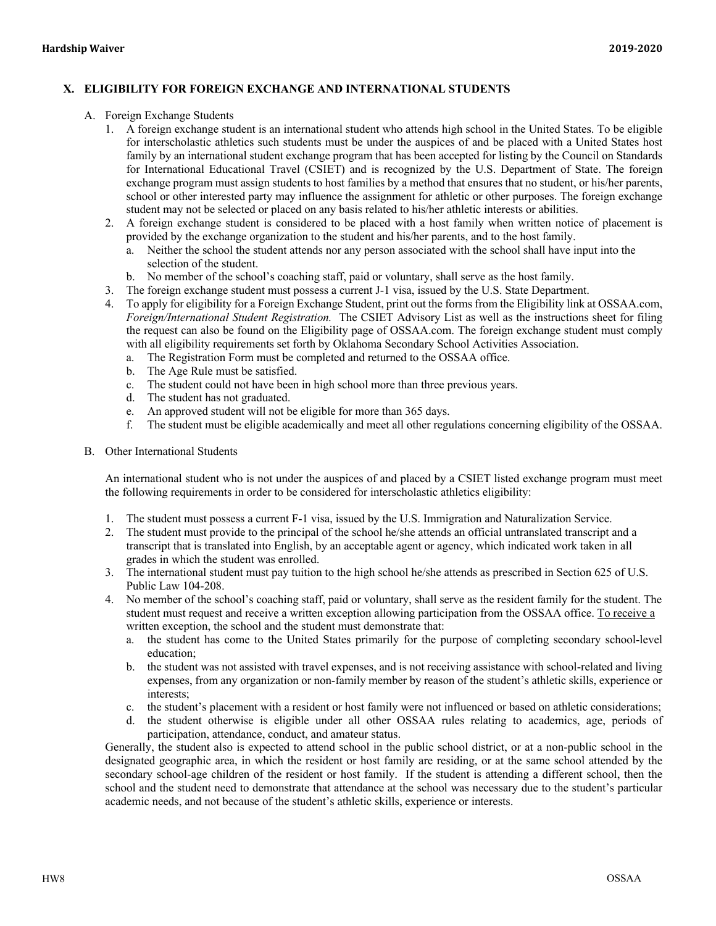# **X. ELIGIBILITY FOR FOREIGN EXCHANGE AND INTERNATIONAL STUDENTS**

- A. Foreign Exchange Students
	- 1. A foreign exchange student is an international student who attends high school in the United States. To be eligible for interscholastic athletics such students must be under the auspices of and be placed with a United States host family by an international student exchange program that has been accepted for listing by the Council on Standards for International Educational Travel (CSIET) and is recognized by the U.S. Department of State. The foreign exchange program must assign students to host families by a method that ensures that no student, or his/her parents, school or other interested party may influence the assignment for athletic or other purposes. The foreign exchange student may not be selected or placed on any basis related to his/her athletic interests or abilities.
	- 2. A foreign exchange student is considered to be placed with a host family when written notice of placement is provided by the exchange organization to the student and his/her parents, and to the host family.
		- a. Neither the school the student attends nor any person associated with the school shall have input into the selection of the student.
		- b. No member of the school's coaching staff, paid or voluntary, shall serve as the host family.
	- 3. The foreign exchange student must possess a current J-1 visa, issued by the U.S. State Department.
	- 4. To apply for eligibility for a Foreign Exchange Student, print out the forms from the Eligibility link at OSSAA.com, *Foreign/International Student Registration.* The CSIET Advisory List as well as the instructions sheet for filing the request can also be found on the Eligibility page of OSSAA.com. The foreign exchange student must comply with all eligibility requirements set forth by Oklahoma Secondary School Activities Association.
		- a. The Registration Form must be completed and returned to the OSSAA office.
		- b. The Age Rule must be satisfied.
		- c. The student could not have been in high school more than three previous years.
		- d. The student has not graduated.
		- e. An approved student will not be eligible for more than 365 days.
		- f. The student must be eligible academically and meet all other regulations concerning eligibility of the OSSAA.
- B. Other International Students

An international student who is not under the auspices of and placed by a CSIET listed exchange program must meet the following requirements in order to be considered for interscholastic athletics eligibility:

- 1. The student must possess a current F-1 visa, issued by the U.S. Immigration and Naturalization Service.
- 2. The student must provide to the principal of the school he/she attends an official untranslated transcript and a transcript that is translated into English, by an acceptable agent or agency, which indicated work taken in all grades in which the student was enrolled.
- 3. The international student must pay tuition to the high school he/she attends as prescribed in Section 625 of U.S. Public Law 104-208.
- 4. No member of the school's coaching staff, paid or voluntary, shall serve as the resident family for the student. The student must request and receive a written exception allowing participation from the OSSAA office. To receive a written exception, the school and the student must demonstrate that:
	- a. the student has come to the United States primarily for the purpose of completing secondary school-level education;
	- b. the student was not assisted with travel expenses, and is not receiving assistance with school-related and living expenses, from any organization or non-family member by reason of the student's athletic skills, experience or interests;
	- c. the student's placement with a resident or host family were not influenced or based on athletic considerations;
	- d. the student otherwise is eligible under all other OSSAA rules relating to academics, age, periods of participation, attendance, conduct, and amateur status.

Generally, the student also is expected to attend school in the public school district, or at a non-public school in the designated geographic area, in which the resident or host family are residing, or at the same school attended by the secondary school-age children of the resident or host family. If the student is attending a different school, then the school and the student need to demonstrate that attendance at the school was necessary due to the student's particular academic needs, and not because of the student's athletic skills, experience or interests.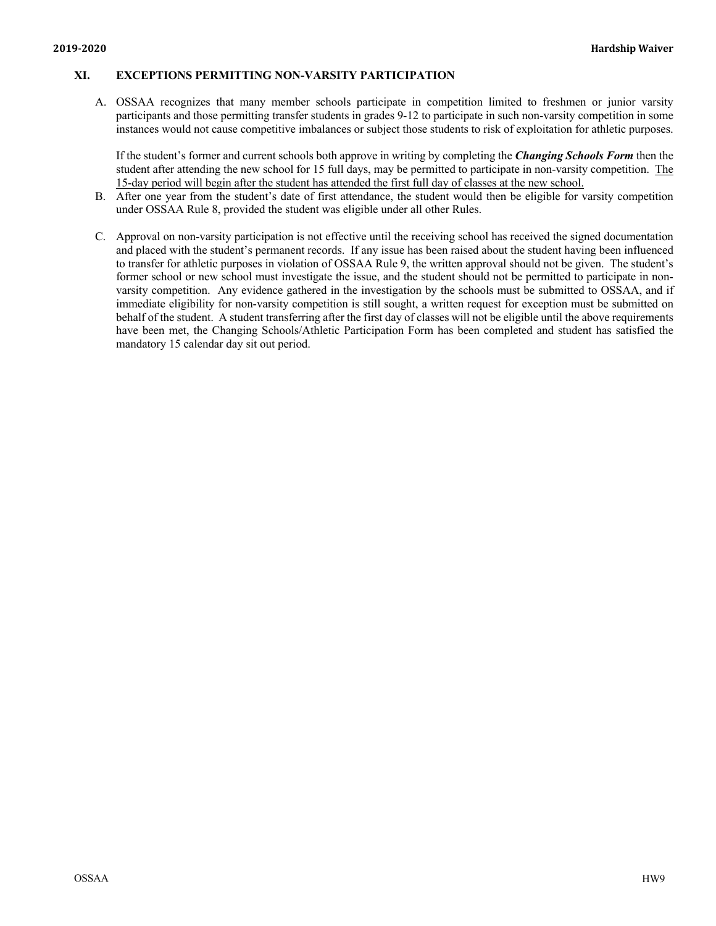### **XI. EXCEPTIONS PERMITTING NON-VARSITY PARTICIPATION**

A. OSSAA recognizes that many member schools participate in competition limited to freshmen or junior varsity participants and those permitting transfer students in grades 9-12 to participate in such non-varsity competition in some instances would not cause competitive imbalances or subject those students to risk of exploitation for athletic purposes.

If the student's former and current schools both approve in writing by completing the *Changing Schools Form* then the student after attending the new school for 15 full days, may be permitted to participate in non-varsity competition. The 15-day period will begin after the student has attended the first full day of classes at the new school.

- B. After one year from the student's date of first attendance, the student would then be eligible for varsity competition under OSSAA Rule 8, provided the student was eligible under all other Rules.
- C. Approval on non-varsity participation is not effective until the receiving school has received the signed documentation and placed with the student's permanent records. If any issue has been raised about the student having been influenced to transfer for athletic purposes in violation of OSSAA Rule 9, the written approval should not be given. The student's former school or new school must investigate the issue, and the student should not be permitted to participate in nonvarsity competition. Any evidence gathered in the investigation by the schools must be submitted to OSSAA, and if immediate eligibility for non-varsity competition is still sought, a written request for exception must be submitted on behalf of the student. A student transferring after the first day of classes will not be eligible until the above requirements have been met, the Changing Schools/Athletic Participation Form has been completed and student has satisfied the mandatory 15 calendar day sit out period.